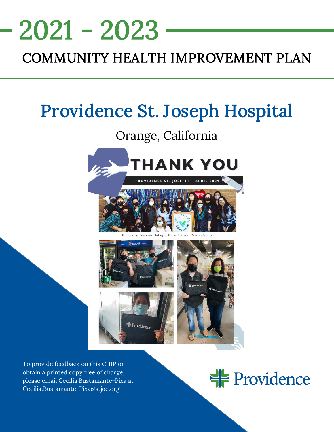# 2021 - 2023

# COMMUNITY HEALTH IMPROVEMENT PLAN

NEEDS ASSESSMENT AND A SECOND AND A SECOND AND A SECOND AND A SECOND AND A SECOND AND A SECOND AND A SECOND AND A SECOND AND A SECOND AND A SECOND AND A SECOND AND A SECOND AND A SECOND AND A SECOND AND A SECOND AND A SECO

# Providence St. Joseph Hospital

# Orange, California



Providence





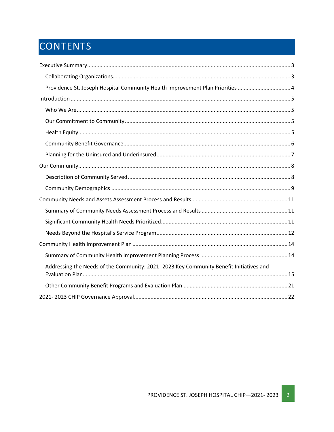# CONTENTS

| Providence St. Joseph Hospital Community Health Improvement Plan Priorities  4         |
|----------------------------------------------------------------------------------------|
|                                                                                        |
|                                                                                        |
|                                                                                        |
|                                                                                        |
|                                                                                        |
|                                                                                        |
|                                                                                        |
|                                                                                        |
|                                                                                        |
|                                                                                        |
|                                                                                        |
|                                                                                        |
|                                                                                        |
|                                                                                        |
|                                                                                        |
| Addressing the Needs of the Community: 2021-2023 Key Community Benefit Initiatives and |
|                                                                                        |
|                                                                                        |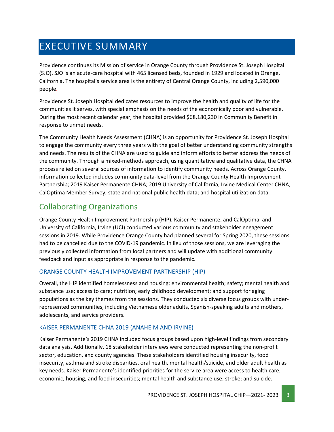# <span id="page-2-0"></span>EXECUTIVE SUMMARY

Providence continues its Mission of service in Orange County through Providence St. Joseph Hospital (SJO). SJO is an acute-care hospital with 465 licensed beds, founded in 1929 and located in Orange, California. The hospital's service area is the entirety of Central Orange County, including 2,590,000 people.

Providence St. Joseph Hospital dedicates resources to improve the health and quality of life for the communities it serves, with special emphasis on the needs of the economically poor and vulnerable. During the most recent calendar year, the hospital provided \$68,180,230 in Community Benefit in response to unmet needs.

The Community Health Needs Assessment (CHNA) is an opportunity for Providence St. Joseph Hospital to engage the community every three years with the goal of better understanding community strengths and needs. The results of the CHNA are used to guide and inform efforts to better address the needs of the community. Through a mixed-methods approach, using quantitative and qualitative data, the CHNA process relied on several sources of information to identify community needs. Across Orange County, information collected includes community data-level from the Orange County Health Improvement Partnership; 2019 Kaiser Permanente CHNA; 2019 University of California, Irvine Medical Center CHNA; CalOptima Member Survey; state and national public health data; and hospital utilization data.

# <span id="page-2-1"></span>Collaborating Organizations

Orange County Health Improvement Partnership (HIP), Kaiser Permanente, and CalOptima, and University of California, Irvine (UCI) conducted various community and stakeholder engagement sessions in 2019. While Providence Orange County had planned several for Spring 2020, these sessions had to be cancelled due to the COVID-19 pandemic. In lieu of those sessions, we are leveraging the previously collected information from local partners and will update with additional community feedback and input as appropriate in response to the pandemic.

#### ORANGE COUNTY HEALTH IMPROVEMENT PARTNERSHIP (HIP)

Overall, the HIP identified homelessness and housing; environmental health; safety; mental health and substance use; access to care; nutrition; early childhood development; and support for aging populations as the key themes from the sessions. They conducted six diverse focus groups with underrepresented communities, including Vietnamese older adults, Spanish-speaking adults and mothers, adolescents, and service providers.

#### KAISER PERMANENTE CHNA 2019 (ANAHEIM AND IRVINE)

Kaiser Permanente's 2019 CHNA included focus groups based upon high-level findings from secondary data analysis. Additionally, 18 stakeholder interviews were conducted representing the non-profit sector, education, and county agencies. These stakeholders identified housing insecurity, food insecurity, asthma and stroke disparities, oral health, mental health/suicide, and older adult health as key needs. Kaiser Permanente's identified priorities for the service area were access to health care; economic, housing, and food insecurities; mental health and substance use; stroke; and suicide.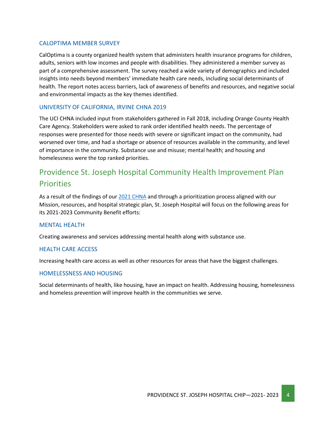#### CALOPTIMA MEMBER SURVEY

CalOptima is a county organized health system that administers health insurance programs for children, adults, seniors with low incomes and people with disabilities. They administered a member survey as part of a comprehensive assessment. The survey reached a wide variety of demographics and included insights into needs beyond members' immediate health care needs, including social determinants of health. The report notes access barriers, lack of awareness of benefits and resources, and negative social and environmental impacts as the key themes identified.

#### UNIVERSITY OF CALIFORNIA, IRVINE CHNA 2019

The UCI CHNA included input from stakeholders gathered in Fall 2018, including Orange County Health Care Agency. Stakeholders were asked to rank order identified health needs. The percentage of responses were presented for those needs with severe or significant impact on the community, had worsened over time, and had a shortage or absence of resources available in the community, and level of importance in the community. Substance use and misuse; mental health; and housing and homelessness were the top ranked priorities.

# <span id="page-3-0"></span>Providence St. Joseph Hospital Community Health Improvement Plan **Priorities**

As a result of the findings of our 2021 [CHNA](https://www.providence.org/about/annual-report/chna-and-chip-reports) and through a prioritization process aligned with our Mission, resources, and hospital strategic plan, St. Joseph Hospital will focus on the following areas for its 2021-2023 Community Benefit efforts:

#### MENTAL HEALTH

Creating awareness and services addressing mental health along with substance use.

#### HEALTH CARE ACCESS

Increasing health care access as well as other resources for areas that have the biggest challenges.

#### HOMELESSNESS AND HOUSING

Social determinants of health, like housing, have an impact on health. Addressing housing, homelessness and homeless prevention will improve health in the communities we serve.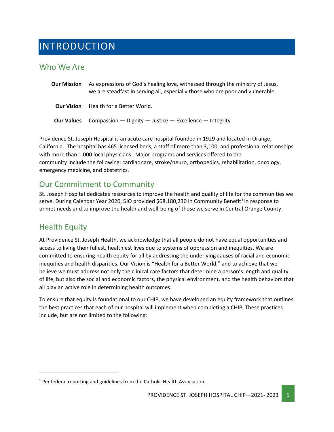# <span id="page-4-0"></span>INTRODUCTION

### <span id="page-4-1"></span>Who We Are

| <b>Our Mission</b> | As expressions of God's healing love, witnessed through the ministry of Jesus,<br>we are steadfast in serving all, especially those who are poor and vulnerable. |
|--------------------|------------------------------------------------------------------------------------------------------------------------------------------------------------------|
| <b>Our Vision</b>  | Health for a Better World.                                                                                                                                       |
| <b>Our Values</b>  | Compassion $-$ Dignity $-$ Justice $-$ Excellence $-$ Integrity                                                                                                  |

Providence St. Joseph Hospital is an acute care hospital founded in 1929 and located in Orange, California. The hospital has 465 licensed beds, a staff of more than 3,100, and professional relationships with more than 1,000 local physicians. Major programs and services offered to the community include the following: cardiac care, stroke/neuro, orthopedics, rehabilitation, oncology, emergency medicine, and obstetrics.

## <span id="page-4-2"></span>Our Commitment to Community

St. Joseph Hospital dedicates resources to improve the health and quality of life for the communities we serve. During Calendar Year 2020, SJO provided \$68,[1](#page-4-4)80,230 in Community Benefit<sup>1</sup> in response to unmet needs and to improve the health and well-being of those we serve in Central Orange County.

### <span id="page-4-3"></span>Health Equity

At Providence St. Joseph Health, we acknowledge that all people do not have equal opportunities and access to living their fullest, healthiest lives due to systems of oppression and inequities. We are committed to ensuring health equity for all by addressing the underlying causes of racial and economic inequities and health disparities. Our Vision is "Health for a Better World," and to achieve that we believe we must address not only the clinical care factors that determine a person's length and quality of life, but also the social and economic factors, the physical environment, and the health behaviors that all play an active role in determining health outcomes.

To ensure that equity is foundational to our CHIP, we have developed an equity framework that outlines the best practices that each of our hospital will implement when completing a CHIP. These practices include, but are not limited to the following:

<span id="page-4-4"></span> $1$  Per federal reporting and guidelines from the Catholic Health Association.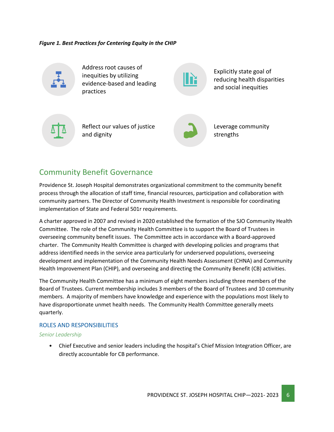*Figure 1. Best Practices for Centering Equity in the CHIP*



Address root causes of inequities by utilizing evidence-based and leading practices

Explicitly state goal of reducing health disparities and social inequities



Reflect our values of justice and dignity



Leverage community strengths

### <span id="page-5-0"></span>Community Benefit Governance

Providence St. Joseph Hospital demonstrates organizational commitment to the community benefit process through the allocation of staff time, financial resources, participation and collaboration with community partners. The Director of Community Health Investment is responsible for coordinating implementation of State and Federal 501r requirements.

A charter approved in 2007 and revised in 2020 established the formation of the SJO Community Health Committee. The role of the Community Health Committee is to support the Board of Trustees in overseeing community benefit issues. The Committee acts in accordance with a Board-approved charter. The Community Health Committee is charged with developing policies and programs that address identified needs in the service area particularly for underserved populations, overseeing development and implementation of the Community Health Needs Assessment (CHNA) and Community Health Improvement Plan (CHIP), and overseeing and directing the Community Benefit (CB) activities.

The Community Health Committee has a minimum of eight members including three members of the Board of Trustees. Current membership includes 3 members of the Board of Trustees and 10 community members. A majority of members have knowledge and experience with the populations most likely to have disproportionate unmet health needs. The Community Health Committee generally meets quarterly.

#### ROLES AND RESPONSIBILITIES

#### *Senior Leadership*

• Chief Executive and senior leaders including the hospital's Chief Mission Integration Officer, are directly accountable for CB performance.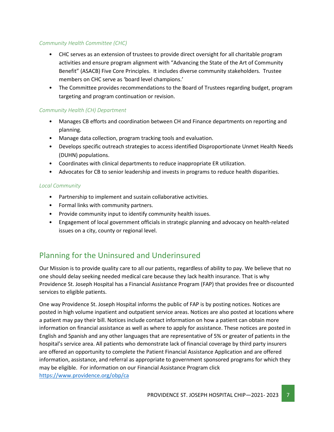#### *Community Health Committee (CHC)*

- CHC serves as an extension of trustees to provide direct oversight for all charitable program activities and ensure program alignment with "Advancing the State of the Art of Community Benefit" (ASACB) Five Core Principles. It includes diverse community stakeholders. Trustee members on CHC serve as 'board level champions.'
- The Committee provides recommendations to the Board of Trustees regarding budget, program targeting and program continuation or revision.

#### *Community Health (CH) Department*

- Manages CB efforts and coordination between CH and Finance departments on reporting and planning.
- Manage data collection, program tracking tools and evaluation.
- Develops specific outreach strategies to access identified Disproportionate Unmet Health Needs (DUHN) populations.
- Coordinates with clinical departments to reduce inappropriate ER utilization.
- Advocates for CB to senior leadership and invests in programs to reduce health disparities.

#### *Local Community*

- Partnership to implement and sustain collaborative activities.
- Formal links with community partners.
- Provide community input to identify community health issues.
- Engagement of local government officials in strategic planning and advocacy on health-related issues on a city, county or regional level.

# <span id="page-6-0"></span>Planning for the Uninsured and Underinsured

Our Mission is to provide quality care to all our patients, regardless of ability to pay. We believe that no one should delay seeking needed medical care because they lack health insurance. That is why Providence St. Joseph Hospital has a Financial Assistance Program (FAP) that provides free or discounted services to eligible patients.

One way Providence St. Joseph Hospital informs the public of FAP is by posting notices. Notices are posted in high volume inpatient and outpatient service areas. Notices are also posted at locations where a patient may pay their bill. Notices include contact information on how a patient can obtain more information on financial assistance as well as where to apply for assistance. These notices are posted in English and Spanish and any other languages that are representative of 5% or greater of patients in the hospital's service area. All patients who demonstrate lack of financial coverage by third party insurers are offered an opportunity to complete the Patient Financial Assistance Application and are offered information, assistance, and referral as appropriate to government sponsored programs for which they may be eligible. For information on our Financial Assistance Program click <https://www.providence.org/obp/ca>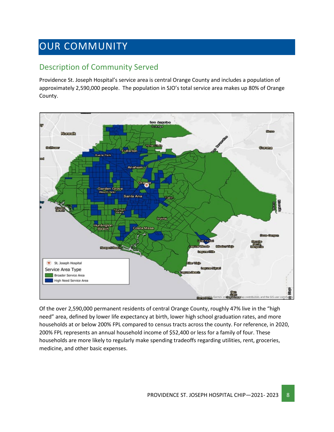# <span id="page-7-0"></span>OUR COMMUNITY

## <span id="page-7-1"></span>Description of Community Served

Providence St. Joseph Hospital's service area is central Orange County and includes a population of approximately 2,590,000 people. The population in SJO's total service area makes up 80% of Orange County.



Of the over 2,590,000 permanent residents of central Orange County, roughly 47% live in the "high need" area, defined by lower life expectancy at birth, lower high school graduation rates, and more households at or below 200% FPL compared to census tracts across the county. For reference, in 2020, 200% FPL represents an annual household income of \$52,400 or less for a family of four. These households are more likely to regularly make spending tradeoffs regarding utilities, rent, groceries, medicine, and other basic expenses.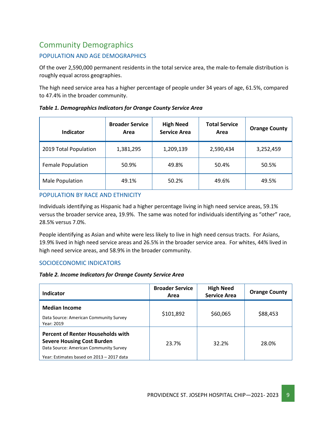# <span id="page-8-0"></span>Community Demographics

#### POPULATION AND AGE DEMOGRAPHICS

Of the over 2,590,000 permanent residents in the total service area, the male-to-female distribution is roughly equal across geographies.

The high need service area has a higher percentage of people under 34 years of age, 61.5%, compared to 47.4% in the broader community.

| Table 1. Demographics Indicators for Orange County Service Area |  |  |
|-----------------------------------------------------------------|--|--|
|                                                                 |  |  |

| <b>Indicator</b>         | <b>Broader Service</b><br>Area | <b>High Need</b><br><b>Service Area</b> | <b>Total Service</b><br>Area | <b>Orange County</b> |
|--------------------------|--------------------------------|-----------------------------------------|------------------------------|----------------------|
| 2019 Total Population    | 1,381,295                      | 1,209,139                               | 2,590,434                    | 3,252,459            |
| <b>Female Population</b> | 50.9%                          | 49.8%                                   | 50.4%                        | 50.5%                |
| Male Population          | 49.1%                          | 50.2%                                   | 49.6%                        | 49.5%                |

POPULATION BY RACE AND ETHNICITY

Individuals identifying as Hispanic had a higher percentage living in high need service areas, 59.1% versus the broader service area, 19.9%. The same was noted for individuals identifying as "other" race, 28.5% versus 7.0%.

People identifying as Asian and white were less likely to live in high need census tracts. For Asians, 19.9% lived in high need service areas and 26.5% in the broader service area. For whites, 44% lived in high need service areas, and 58.9% in the broader community.

#### SOCIOECONOMIC INDICATORS

*Table 2. Income Indicators for Orange County Service Area*

| Indicator                                                                                                                                                            | <b>Broader Service</b><br>Area | <b>High Need</b><br><b>Service Area</b> | <b>Orange County</b> |
|----------------------------------------------------------------------------------------------------------------------------------------------------------------------|--------------------------------|-----------------------------------------|----------------------|
| <b>Median Income</b><br>Data Source: American Community Survey<br>Year: 2019                                                                                         | \$101,892                      | \$60,065                                | \$88,453             |
| <b>Percent of Renter Households with</b><br><b>Severe Housing Cost Burden</b><br>Data Source: American Community Survey<br>Year: Estimates based on 2013 - 2017 data | 23.7%                          | 32.2%                                   | 28.0%                |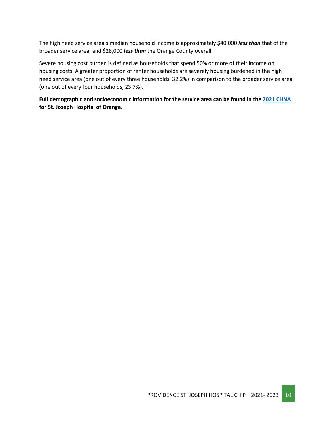The high need service area's median household income is approximately \$40,000 *less than* that of the broader service area, and \$28,000 *less than* the Orange County overall.

Severe housing cost burden is defined as households that spend 50% or more of their income on housing costs. A greater proportion of renter households are severely housing burdened in the high need service area (one out of every three households, 32.2%) in comparison to the broader service area (one out of every four households, 23.7%).

**Full demographic and socioeconomic information for the service area can be found in the 2021 [CHNA](https://www.providence.org/about/annual-report/chna-and-chip-reports) for St. Joseph Hospital of Orange.**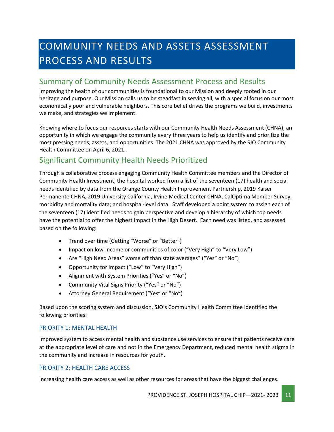# <span id="page-10-0"></span>COMMUNITY NEEDS AND ASSETS ASSESSMENT PROCESS AND RESULTS

### <span id="page-10-1"></span>Summary of Community Needs Assessment Process and Results

Improving the health of our communities is foundational to our Mission and deeply rooted in our heritage and purpose. Our Mission calls us to be steadfast in serving all, with a special focus on our most economically poor and vulnerable neighbors. This core belief drives the programs we build, investments we make, and strategies we implement.

Knowing where to focus our resources starts with our Community Health Needs Assessment (CHNA), an opportunity in which we engage the community every three years to help us identify and prioritize the most pressing needs, assets, and opportunities. The 2021 CHNA was approved by the SJO Community Health Committee on April 6, 2021.

## <span id="page-10-2"></span>Significant Community Health Needs Prioritized

Through a collaborative process engaging Community Health Committee members and the Director of Community Health Investment, the hospital worked from a list of the seventeen (17) health and social needs identified by data from the Orange County Health Improvement Partnership, 2019 Kaiser Permanente CHNA, 2019 University California, Irvine Medical Center CHNA, CalOptima Member Survey, morbidity and mortality data; and hospital-level data. Staff developed a point system to assign each of the seventeen (17) identified needs to gain perspective and develop a hierarchy of which top needs have the potential to offer the highest impact in the High Desert. Each need was listed, and assessed based on the following:

- Trend over time (Getting "Worse" or "Better")
- Impact on low-income or communities of color ("Very High" to "Very Low")
- Are "High Need Areas" worse off than state averages? ("Yes" or "No")
- Opportunity for Impact ("Low" to "Very High")
- Alignment with System Priorities ("Yes" or "No")
- Community Vital Signs Priority ("Yes" or "No")
- Attorney General Requirement ("Yes" or "No")

Based upon the scoring system and discussion, SJO's Community Health Committee identified the following priorities:

#### PRIORITY 1: MENTAL HEALTH

Improved system to access mental health and substance use services to ensure that patients receive care at the appropriate level of care and not in the Emergency Department, reduced mental health stigma in the community and increase in resources for youth.

#### PRIORITY 2: HEALTH CARE ACCESS

Increasing health care access as well as other resources for areas that have the biggest challenges.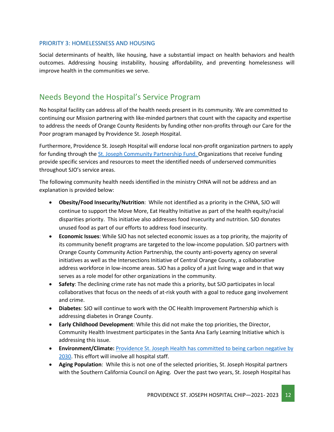#### PRIORITY 3: HOMELESSNESS AND HOUSING

Social determinants of health, like housing, have a substantial impact on health behaviors and health outcomes. Addressing housing instability, housing affordability, and preventing homelessness will improve health in the communities we serve.

### <span id="page-11-0"></span>Needs Beyond the Hospital's Service Program

No hospital facility can address all of the health needs present in its community. We are committed to continuing our Mission partnering with like-minded partners that count with the capacity and expertise to address the needs of Orange County Residents by funding other non-profits through our Care for the Poor program managed by Providence St. Joseph Hospital.

Furthermore, Providence St. Joseph Hospital will endorse local non-profit organization partners to apply for funding through the [St. Joseph Community Partnership Fund. O](http://www.stjhs.org/SJH-Programs/SJH-Community-Partnership-Fund.aspx)rganizations that receive funding provide specific services and resources to meet the identified needs of underserved communities throughout SJO's service areas.

The following community health needs identified in the ministry CHNA will not be address and an explanation is provided below:

- **Obesity/Food Insecurity/Nutrition**: While not identified as a priority in the CHNA, SJO will continue to support the Move More, Eat Healthy Initiative as part of the health equity/racial disparities priority. This initiative also addresses food insecurity and nutrition. SJO donates unused food as part of our efforts to address food insecurity.
- **Economic Issues**: While SJO has not selected economic issues as a top priority, the majority of its community benefit programs are targeted to the low-income population. SJO partners with Orange County Community Action Partnership, the county anti-poverty agency on several initiatives as well as the Intersections Initiative of Central Orange County, a collaborative address workforce in low-income areas. SJO has a policy of a just living wage and in that way serves as a role model for other organizations in the community.
- **Safety**: The declining crime rate has not made this a priority, but SJO participates in local collaboratives that focus on the needs of at-risk youth with a goal to reduce gang involvement and crime.
- **Diabetes**: SJO will continue to work with the OC Health Improvement Partnership which is addressing diabetes in Orange County.
- **Early Childhood Development**: While this did not make the top priorities, the Director, Community Health Investment participates in the Santa Ana Early Learning Initiative which is addressing this issue.
- **Environment/Climate:** [Providence St. Joseph Health has committed to being carbon negative by](https://www.providence.org/about/community-partnerships/work-we-do/government-affairs-and-social-responsibility/environmental-stewardship/our-commitment-to-environmental-transformation)  [2030.](https://www.providence.org/about/community-partnerships/work-we-do/government-affairs-and-social-responsibility/environmental-stewardship/our-commitment-to-environmental-transformation) This effort will involve all hospital staff.
- **Aging Population**: While this is not one of the selected priorities, St. Joseph Hospital partners with the Southern California Council on Aging. Over the past two years, St. Joseph Hospital has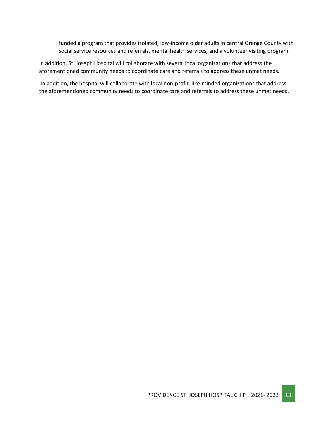funded a program that provides isolated, low-income older adults in central Orange County with social service resources and referrals, mental health services, and a volunteer visiting program.

In addition, St. Joseph Hospital will collaborate with several local organizations that address the aforementioned community needs to coordinate care and referrals to address these unmet needs.

In addition, the hospital will collaborate with local non-profit, like-minded organizations that address the aforementioned community needs to coordinate care and referrals to address these unmet needs.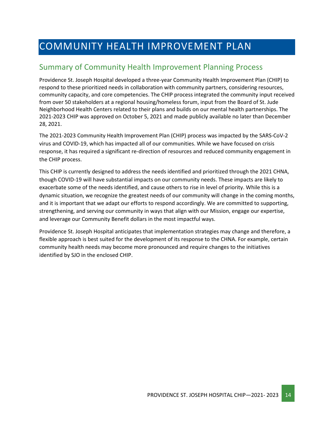# <span id="page-13-0"></span>COMMUNITY HEALTH IMPROVEMENT PLAN

## <span id="page-13-1"></span>Summary of Community Health Improvement Planning Process

Providence St. Joseph Hospital developed a three-year Community Health Improvement Plan (CHIP) to respond to these prioritized needs in collaboration with community partners, considering resources, community capacity, and core competencies. The CHIP process integrated the community input received from over 50 stakeholders at a regional housing/homeless forum, input from the Board of St. Jude Neighborhood Health Centers related to their plans and builds on our mental health partnerships. The 2021-2023 CHIP was approved on October 5, 2021 and made publicly available no later than December 28, 2021.

The 2021-2023 Community Health Improvement Plan (CHIP) process was impacted by the SARS-CoV-2 virus and COVID-19, which has impacted all of our communities. While we have focused on crisis response, it has required a significant re-direction of resources and reduced community engagement in the CHIP process.

This CHIP is currently designed to address the needs identified and prioritized through the 2021 CHNA, though COVID-19 will have substantial impacts on our community needs. These impacts are likely to exacerbate some of the needs identified, and cause others to rise in level of priority. While this is a dynamic situation, we recognize the greatest needs of our community will change in the coming months, and it is important that we adapt our efforts to respond accordingly. We are committed to supporting, strengthening, and serving our community in ways that align with our Mission, engage our expertise, and leverage our Community Benefit dollars in the most impactful ways.

Providence St. Joseph Hospital anticipates that implementation strategies may change and therefore, a flexible approach is best suited for the development of its response to the CHNA. For example, certain community health needs may become more pronounced and require changes to the initiatives identified by SJO in the enclosed CHIP.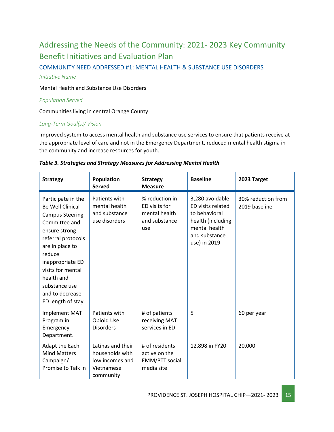# <span id="page-14-0"></span>Addressing the Needs of the Community: 2021- 2023 Key Community Benefit Initiatives and Evaluation Plan

COMMUNITY NEED ADDRESSED #1: MENTAL HEALTH & SUBSTANCE USE DISORDERS

#### *Initiative Name*

Mental Health and Substance Use Disorders

#### *Population Served*

Communities living in central Orange County

#### *Long-Term Goal(s)/ Vision*

Improved system to access mental health and substance use services to ensure that patients receive at the appropriate level of care and not in the Emergency Department, reduced mental health stigma in the community and increase resources for youth.

| <b>Strategy</b>                                                                                                                                                                                                                                                               | <b>Population</b><br><b>Served</b>                                                 | <b>Strategy</b><br><b>Measure</b>                                        | <b>Baseline</b>                                                                                                              | 2023 Target                         |
|-------------------------------------------------------------------------------------------------------------------------------------------------------------------------------------------------------------------------------------------------------------------------------|------------------------------------------------------------------------------------|--------------------------------------------------------------------------|------------------------------------------------------------------------------------------------------------------------------|-------------------------------------|
| Participate in the<br><b>Be Well Clinical</b><br><b>Campus Steering</b><br>Committee and<br>ensure strong<br>referral protocols<br>are in place to<br>reduce<br>inappropriate ED<br>visits for mental<br>health and<br>substance use<br>and to decrease<br>ED length of stay. | Patients with<br>mental health<br>and substance<br>use disorders                   | % reduction in<br>ED visits for<br>mental health<br>and substance<br>use | 3,280 avoidable<br>ED visits related<br>to behavioral<br>health (including<br>mental health<br>and substance<br>use) in 2019 | 30% reduction from<br>2019 baseline |
| <b>Implement MAT</b><br>Program in<br>Emergency<br>Department.                                                                                                                                                                                                                | Patients with<br>Opioid Use<br><b>Disorders</b>                                    | # of patients<br>receiving MAT<br>services in ED                         | 5                                                                                                                            | 60 per year                         |
| Adapt the Each<br><b>Mind Matters</b><br>Campaign/<br>Promise to Talk in                                                                                                                                                                                                      | Latinas and their<br>households with<br>low incomes and<br>Vietnamese<br>community | # of residents<br>active on the<br><b>EMM/PTT</b> social<br>media site   | 12,898 in FY20                                                                                                               | 20,000                              |

#### *Table 3. Strategies and Strategy Measures for Addressing Mental Health*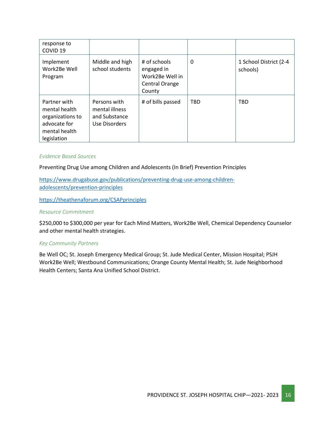| response to<br>COVID <sub>19</sub>                                                                |                                                                  |                                                                           |            |                                    |
|---------------------------------------------------------------------------------------------------|------------------------------------------------------------------|---------------------------------------------------------------------------|------------|------------------------------------|
| Implement<br>Work2Be Well<br>Program                                                              | Middle and high<br>school students                               | # of schools<br>engaged in<br>Work2Be Well in<br>Central Orange<br>County | 0          | 1 School District (2-4<br>schools) |
| Partner with<br>mental health<br>organizations to<br>advocate for<br>mental health<br>legislation | Persons with<br>mental illness<br>and Substance<br>Use Disorders | # of bills passed                                                         | <b>TBD</b> | <b>TBD</b>                         |

#### *Evidence Based Sources*

Preventing Drug Use among Children and Adolescents (In Brief) Prevention Principles

[https://www.drugabuse.gov/publications/preventing-drug-use-among-children](https://www.drugabuse.gov/publications/preventing-drug-use-among-children-adolescents/prevention-principles)[adolescents/prevention-principles](https://www.drugabuse.gov/publications/preventing-drug-use-among-children-adolescents/prevention-principles)

<https://theathenaforum.org/CSAPprinciples>

#### *Resource Commitment*

\$250,000 to \$300,000 per year for Each Mind Matters, Work2Be Well, Chemical Dependency Counselor and other mental health strategies.

#### *Key Community Partners*

Be Well OC; St. Joseph Emergency Medical Group; St. Jude Medical Center, Mission Hospital; PSJH Work2Be Well; Westbound Communications; Orange County Mental Health; St. Jude Neighborhood Health Centers; Santa Ana Unified School District.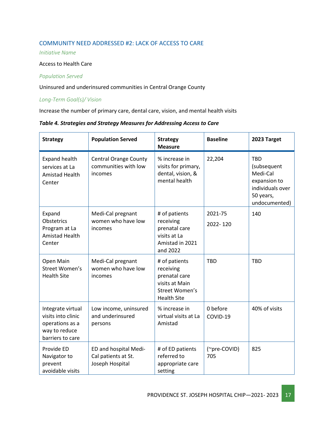#### COMMUNITY NEED ADDRESSED #2: LACK OF ACCESS TO CARE

*Initiative Name*

#### Access to Health Care

#### *Population Served*

Uninsured and underinsured communities in Central Orange County

#### *Long-Term Goal(s)/ Vision*

Increase the number of primary care, dental care, vision, and mental health visits

#### *Table 4. Strategies and Strategy Measures for Addressing Access to Care*

| <b>Strategy</b>                                                                                 | <b>Population Served</b>                                        | <b>Strategy</b><br><b>Measure</b>                                                                     | <b>Baseline</b>      | 2023 Target                                                                                             |
|-------------------------------------------------------------------------------------------------|-----------------------------------------------------------------|-------------------------------------------------------------------------------------------------------|----------------------|---------------------------------------------------------------------------------------------------------|
| <b>Expand health</b><br>services at La<br>Amistad Health<br>Center                              | <b>Central Orange County</b><br>communities with low<br>incomes | % increase in<br>visits for primary,<br>dental, vision, &<br>mental health                            | 22,204               | <b>TBD</b><br>(subsequent<br>Medi-Cal<br>expansion to<br>individuals over<br>50 years,<br>undocumented) |
| Expand<br>Obstetrics<br>Program at La<br>Amistad Health<br>Center                               | Medi-Cal pregnant<br>women who have low<br>incomes              | # of patients<br>receiving<br>prenatal care<br>visits at La<br>Amistad in 2021<br>and 2022            | 2021-75<br>2022-120  | 140                                                                                                     |
| Open Main<br>Street Women's<br><b>Health Site</b>                                               | Medi-Cal pregnant<br>women who have low<br>incomes              | # of patients<br>receiving<br>prenatal care<br>visits at Main<br>Street Women's<br><b>Health Site</b> | <b>TBD</b>           | <b>TBD</b>                                                                                              |
| Integrate virtual<br>visits into clinic<br>operations as a<br>way to reduce<br>barriers to care | Low income, uninsured<br>and underinsured<br>persons            | % increase in<br>virtual visits at La<br>Amistad                                                      | 0 before<br>COVID-19 | 40% of visits                                                                                           |
| Provide ED<br>Navigator to<br>prevent<br>avoidable visits                                       | ED and hospital Medi-<br>Cal patients at St.<br>Joseph Hospital | # of ED patients<br>referred to<br>appropriate care<br>setting                                        | (~pre-COVID)<br>705  | 825                                                                                                     |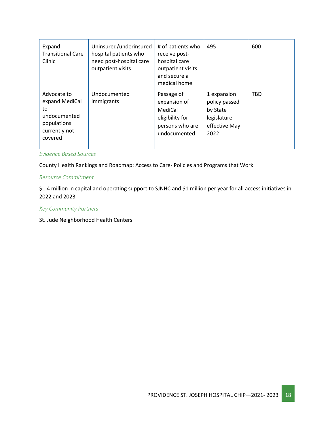| Expand<br><b>Transitional Care</b><br>Clinic                                                   | Uninsured/underinsured<br>hospital patients who<br>need post-hospital care<br>outpatient visits | # of patients who<br>receive post-<br>hospital care<br>outpatient visits<br>and secure a<br>medical home | 495                                                                              | 600        |
|------------------------------------------------------------------------------------------------|-------------------------------------------------------------------------------------------------|----------------------------------------------------------------------------------------------------------|----------------------------------------------------------------------------------|------------|
| Advocate to<br>expand MediCal<br>to<br>undocumented<br>populations<br>currently not<br>covered | Undocumented<br>immigrants                                                                      | Passage of<br>expansion of<br>MediCal<br>eligibility for<br>persons who are<br>undocumented              | 1 expansion<br>policy passed<br>by State<br>legislature<br>effective May<br>2022 | <b>TBD</b> |

*Evidence Based Sources*

County Health Rankings and Roadmap: Access to Care- Policies and Programs that Work

#### *Resource Commitment*

\$1.4 million in capital and operating support to SJNHC and \$1 million per year for all access initiatives in 2022 and 2023

#### *Key Community Partners*

St. Jude Neighborhood Health Centers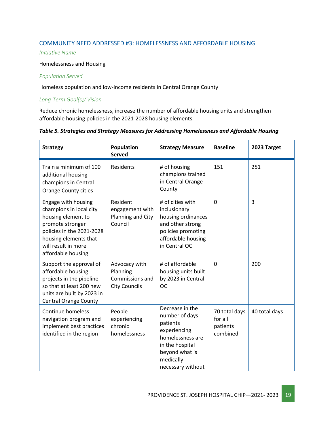#### COMMUNITY NEED ADDRESSED #3: HOMELESSNESS AND AFFORDABLE HOUSING

#### *Initiative Name*

#### Homelessness and Housing

#### *Population Served*

Homeless population and low-income residents in Central Orange County

#### *Long-Term Goal(s)/ Vision*

Reduce chronic homelessness, increase the number of affordable housing units and strengthen affordable housing policies in the 2021-2028 housing elements.

#### *Table 5. Strategies and Strategy Measures for Addressing Homelessness and Affordable Housing*

| <b>Strategy</b>                                                                                                                                                                             | Population<br><b>Served</b>                                          | <b>Strategy Measure</b>                                                                                                                                  | <b>Baseline</b>                                  | 2023 Target   |
|---------------------------------------------------------------------------------------------------------------------------------------------------------------------------------------------|----------------------------------------------------------------------|----------------------------------------------------------------------------------------------------------------------------------------------------------|--------------------------------------------------|---------------|
| Train a minimum of 100<br>additional housing<br>champions in Central<br>Orange County cities                                                                                                | Residents                                                            | # of housing<br>champions trained<br>in Central Orange<br>County                                                                                         | 151                                              | 251           |
| Engage with housing<br>champions in local city<br>housing element to<br>promote stronger<br>policies in the 2021-2028<br>housing elements that<br>will result in more<br>affordable housing | Resident<br>engagement with<br>Planning and City<br>Council          | # of cities with<br>inclusionary<br>housing ordinances<br>and other strong<br>policies promoting<br>affordable housing<br>in Central OC                  | 0                                                | 3             |
| Support the approval of<br>affordable housing<br>projects in the pipeline<br>so that at least 200 new<br>units are built by 2023 in<br><b>Central Orange County</b>                         | Advocacy with<br>Planning<br>Commissions and<br><b>City Councils</b> | # of affordable<br>housing units built<br>by 2023 in Central<br><b>OC</b>                                                                                | $\Omega$                                         | 200           |
| Continue homeless<br>navigation program and<br>implement best practices<br>identified in the region                                                                                         | People<br>experiencing<br>chronic<br>homelessness                    | Decrease in the<br>number of days<br>patients<br>experiencing<br>homelessness are<br>in the hospital<br>beyond what is<br>medically<br>necessary without | 70 total days<br>for all<br>patients<br>combined | 40 total days |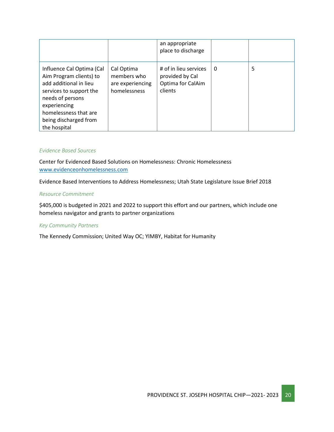|                                                                                                                                                                                                                 |                                                               | an appropriate<br>place to discharge                                     |          |   |
|-----------------------------------------------------------------------------------------------------------------------------------------------------------------------------------------------------------------|---------------------------------------------------------------|--------------------------------------------------------------------------|----------|---|
| Influence Cal Optima (Cal<br>Aim Program clients) to<br>add additional in lieu<br>services to support the<br>needs of persons<br>experiencing<br>homelessness that are<br>being discharged from<br>the hospital | Cal Optima<br>members who<br>are experiencing<br>homelessness | # of in lieu services<br>provided by Cal<br>Optima for CalAim<br>clients | $\Omega$ | 5 |

#### *Evidence Based Sources*

Center for Evidenced Based Solutions on Homelessness: Chronic Homelessness [www.evidenceonhomelessness.com](http://www.evidenceonhomelessness.com/)

Evidence Based Interventions to Address Homelessness; Utah State Legislature Issue Brief 2018

#### *Resource Commitment*

\$405,000 is budgeted in 2021 and 2022 to support this effort and our partners, which include one homeless navigator and grants to partner organizations

#### *Key Community Partners*

The Kennedy Commission; United Way OC; YIMBY, Habitat for Humanity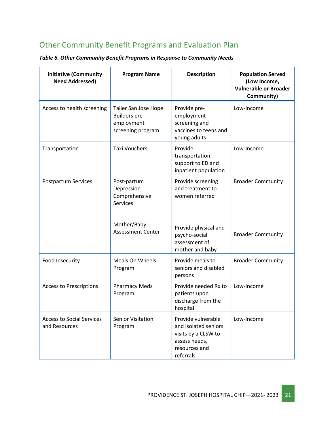# <span id="page-20-0"></span>Other Community Benefit Programs and Evaluation Plan

*Table 6. Other Community Benefit Programs in Response to Community Needs*

| <b>Initiative (Community</b><br><b>Need Addressed)</b> | <b>Program Name</b>                                                      | <b>Description</b>                                                                                               | <b>Population Served</b><br>(Low Income,<br><b>Vulnerable or Broader</b><br>Community) |
|--------------------------------------------------------|--------------------------------------------------------------------------|------------------------------------------------------------------------------------------------------------------|----------------------------------------------------------------------------------------|
| Access to health screening                             | Taller San Jose Hope<br>Builders pre-<br>employment<br>screening program | Provide pre-<br>employment<br>screening and<br>vaccines to teens and<br>young adults                             | Low-Income                                                                             |
| Transportation                                         | <b>Taxi Vouchers</b>                                                     | Provide<br>transportation<br>support to ED and<br>inpatient population                                           | Low-Income                                                                             |
| <b>Postpartum Services</b>                             | Post-partum<br>Depression<br>Comprehensive<br><b>Services</b>            | Provide screening<br>and treatment to<br>women referred                                                          | <b>Broader Community</b>                                                               |
|                                                        | Mother/Baby<br><b>Assessment Center</b>                                  | Provide physical and<br>psycho-social<br>assessment of<br>mother and baby                                        | <b>Broader Community</b>                                                               |
| Food Insecurity                                        | Meals On Wheels<br>Program                                               | Provide meals to<br>seniors and disabled<br>persons                                                              | <b>Broader Community</b>                                                               |
| <b>Access to Prescriptions</b>                         | <b>Pharmacy Meds</b><br>Program                                          | Provide needed Rx to<br>patients upon<br>discharge from the<br>hospital                                          | Low-Income                                                                             |
| <b>Access to Social Services</b><br>and Resources      | <b>Senior Visitation</b><br>Program                                      | Provide vulnerable<br>and isolated seniors<br>visits by a CLSW to<br>assess needs,<br>resources and<br>referrals | Low-Income                                                                             |